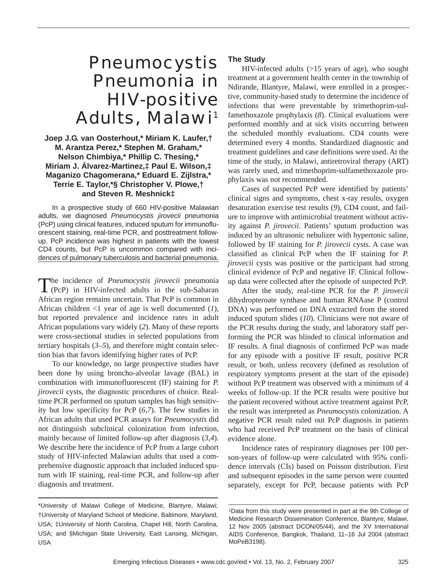# *Pneumocystis* Pneumonia in HIV-positive Adults, Malawi<sup>1</sup>

## **Joep J.G. van Oosterhout,\* Miriam K. Laufer,† M. Arantza Perez,\* Stephen M. Graham,\* Nelson Chimbiya,\* Phillip C. Thesing,\* Miriam J. Álvarez-Martinez,‡ Paul E. Wilson,‡ Maganizo Chagomerana,\* Eduard E. Zijlstra,\* Terrie E. Taylor,\*§ Christopher V. Plowe,† and Steven R. Meshnick‡**

In a prospective study of 660 HIV-positive Malawian adults, we diagnosed *Pneumocystis jirovecii* pneumonia (PcP) using clinical features, induced sputum for immunofluorescent staining, real-time PCR, and posttreatment followup. PcP incidence was highest in patients with the lowest CD4 counts, but PcP is uncommon compared with incidences of pulmonary tuberculosis and bacterial pneumonia.

The incidence of *Pneumocystis jirovecii* pneumonia<br>
(PcP) in HIV-infected adults in the sub-Saharan African region remains uncertain. That PcP is common in African children <1 year of age is well documented (*1*), but reported prevalence and incidence rates in adult African populations vary widely (*2*). Many of these reports were cross-sectional studies in selected populations from tertiary hospitals (*3*–*5*), and therefore might contain selection bias that favors identifying higher rates of PcP.

To our knowledge, no large prospective studies have been done by using broncho-alveolar lavage (BAL) in combination with immunofluorescent (IF) staining for *P. jirovecii* cysts, the diagnostic procedures of choice. Realtime PCR performed on sputum samples has high sensitivity but low specificity for PcP (*6*,*7*). The few studies in African adults that used PCR assays for *Pneumocystis* did not distinguish subclinical colonization from infection, mainly because of limited follow-up after diagnosis (*3*,*4*). We describe here the incidence of PcP from a large cohort study of HIV-infected Malawian adults that used a comprehensive diagnostic approach that included induced sputum with IF staining, real-time PCR, and follow-up after diagnosis and treatment.

## **The Study**

HIV-infected adults (>15 years of age), who sought treatment at a government health center in the township of Ndirande, Blantyre, Malawi, were enrolled in a prospective, community-based study to determine the incidence of infections that were preventable by trimethoprim-sulfamethoxazole prophylaxis (*8*). Clinical evaluations were performed monthly and at sick visits occurring between the scheduled monthly evaluations. CD4 counts were determined every 4 months. Standardized diagnostic and treatment guidelines and case definitions were used. At the time of the study, in Malawi, antiretroviral therapy (ART) was rarely used, and trimethoprim-sulfamethoxazole prophylaxis was not recommended.

Cases of suspected PcP were identified by patients' clinical signs and symptoms, chest x-ray results, oxygen desaturation exercise test results (*9*), CD4 count, and failure to improve with antimicrobial treatment without activity against *P. jirovecii*. Patients' sputum production was induced by an ultrasonic nebulizer with hypertonic saline, followed by IF staining for *P. jirovecii* cysts. A case was classified as clinical PcP when the IF staining for *P. jirovecii* cysts was positive or the participant had strong clinical evidence of PcP and negative IF. Clinical followup data were collected after the episode of suspected PcP.

After the study, real-time PCR for the *P. jirovecii* dihydropteroate synthase and human RNAase P (control DNA) was performed on DNA extracted from the stored induced sputum slides (*10*). Clinicians were not aware of the PCR results during the study, and laboratory staff performing the PCR was blinded to clinical information and IF results. A final diagnosis of confirmed PcP was made for any episode with a positive IF result, positive PCR result, or both, unless recovery (defined as resolution of respiratory symptoms present at the start of the episode) without PcP treatment was observed with a minimum of 4 weeks of follow-up. If the PCR results were positive but the patient recovered without active treatment against PcP, the result was interpreted as *Pneumocystis* colonization. A negative PCR result ruled out PcP diagnosis in patients who had received PcP treatment on the basis of clinical evidence alone.

Incidence rates of respiratory diagnoses per 100 person-years of follow-up were calculated with 95% confidence intervals (CIs) based on Poisson distribution. First and subsequent episodes in the same person were counted separately, except for PcP, because patients with PcP

<sup>\*</sup>University of Malawi College of Medicine, Blantyre, Malawi; †University of Maryland School of Medicine, Baltimore, Maryland, USA; ‡University of North Carolina, Chapel Hill, North Carolina, USA; and §Michigan State University, East Lansing, Michigan, USA

<sup>1</sup>Data from this study were presented in part at the 9th College of Medicine Research Dissemination Conference, Blantyre, Malawi, 12 Nov 2005 (abstract DCON/05/44), and the XV International AIDS Conference, Bangkok, Thailand, 11–16 Jul 2004 (abstract MoPeB3198).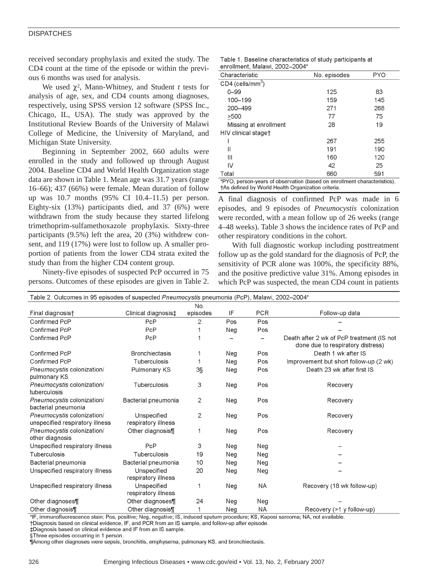#### **DISPATCHES**

received secondary prophylaxis and exited the study. The CD4 count at the time of the episode or within the previous 6 months was used for analysis.

We used  $\chi^2$ , Mann-Whitney, and Student *t* tests for analysis of age, sex, and CD4 counts among diagnoses, respectively, using SPSS version 12 software (SPSS Inc., Chicago, IL, USA). The study was approved by the Institutional Review Boards of the University of Malawi College of Medicine, the University of Maryland, and Michigan State University.

Beginning in September 2002, 660 adults were enrolled in the study and followed up through August 2004. Baseline CD4 and World Health Organization stage data are shown in Table 1. Mean age was 31.7 years (range 16–66); 437 (66%) were female. Mean duration of follow up was 10.7 months (95% CI 10.4–11.5) per person. Eighty-six (13%) participants died, and 37 (6%) were withdrawn from the study because they started lifelong trimethoprim-sulfamethoxazole prophylaxis. Sixty-three participants (9.5%) left the area, 20 (3%) withdrew consent, and 119 (17%) were lost to follow up. A smaller proportion of patients from the lower CD4 strata exited the study than from the higher CD4 content group.

Ninety-five episodes of suspected PcP occurred in 75 persons. Outcomes of these episodes are given in Table 2.

|  | Table 1. Baseline characteristics of study participants at |  |  |
|--|------------------------------------------------------------|--|--|
|  | enrollment, Malawi, 2002-2004*                             |  |  |

| Characteristic                                                           | No. episodes | <b>PYO</b> |  |  |  |
|--------------------------------------------------------------------------|--------------|------------|--|--|--|
| $CD4$ (cells/mm <sup>3</sup> )                                           |              |            |  |  |  |
| $0 - 99$                                                                 | 125          | 83         |  |  |  |
| 100-199                                                                  | 159          | 145        |  |  |  |
| 200-499                                                                  | 271          | 268        |  |  |  |
| >500                                                                     | 77           | 75         |  |  |  |
| Missing at enrollment                                                    | 28           | 19         |  |  |  |
| HIV clinical staget                                                      |              |            |  |  |  |
|                                                                          | 267          | 255        |  |  |  |
| Ш                                                                        | 191          | 190        |  |  |  |
| Ш                                                                        | 160          | 120        |  |  |  |
| IV                                                                       | 42           | 25         |  |  |  |
| Total                                                                    | 660          | 591        |  |  |  |
| *PYO, person-years of observation (based on enrollment characteristics). |              |            |  |  |  |

†As defined by World Health Organization criteria.

A final diagnosis of confirmed PcP was made in 6 episodes, and 9 episodes of *Pneumocystis* colonization were recorded, with a mean follow up of 26 weeks (range 4–48 weeks). Table 3 shows the incidence rates of PcP and other respiratory conditions in the cohort.

With full diagnostic workup including posttreatment follow up as the gold standard for the diagnosis of PcP, the sensitivity of PCR alone was 100%, the specificity 88%, and the positive predictive value 31%. Among episodes in which PcP was suspected, the mean CD4 count in patients

| Table 2. Outcomes in 95 episodes of suspected Pneumocystis pneumonia (PcP), Malawi, 2002-2004* |                                    |                |     |            |                                                                                |  |
|------------------------------------------------------------------------------------------------|------------------------------------|----------------|-----|------------|--------------------------------------------------------------------------------|--|
|                                                                                                |                                    | No.            |     |            |                                                                                |  |
| Final diagnosis†                                                                               | Clinical diagnosis‡                | episodes       | IF  | <b>PCR</b> | Follow-up data                                                                 |  |
| Confirmed PcP                                                                                  | PcP                                | 2              | Pos | Pos        |                                                                                |  |
| Confirmed PcP                                                                                  | PcP                                |                | Neg | Pos        |                                                                                |  |
| Confirmed PcP                                                                                  | PcP                                |                |     |            | Death after 2 wk of PcP treatment (IS not<br>done due to respiratory distress) |  |
| Confirmed PcP                                                                                  | <b>Bronchiectasis</b>              | 1              | Neg | Pos        | Death 1 wk after IS                                                            |  |
| Confirmed PcP                                                                                  | Tuberculosis                       |                | Neg | Pos        | Improvement but short follow-up (2 wk)                                         |  |
| Pneumocystis colonization/<br>pulmonary KS                                                     | Pulmonary KS                       | 3§             | Neg | Pos        | Death 23 wk after first IS                                                     |  |
| Pneumocystis colonization/<br>tuberculosis                                                     | Tuberculosis                       | 3              | Neg | Pos        | Recovery                                                                       |  |
| Pneumocystis colonization/<br>bacterial pneumonia                                              | Bacterial pneumonia                | $\overline{2}$ | Neg | Pos        | Recovery                                                                       |  |
| Pneumocystis colonization/<br>unspecified respiratory illness                                  | Unspecified<br>respiratory illness | $\overline{c}$ | Neg | Pos        | Recovery                                                                       |  |
| Pneumocystis colonization/<br>other diagnosis                                                  | Other diagnosis¶                   | 1              | Neg | Pos        | Recovery                                                                       |  |
| Unspecified respiratory illness                                                                | PcP                                | 3              | Neg | Neg        |                                                                                |  |
| Tuberculosis                                                                                   | Tuberculosis                       | 19             | Neg | Neg        |                                                                                |  |
| Bacterial pneumonia                                                                            | Bacterial pneumonia                | 10             | Neg | Neg        |                                                                                |  |
| Unspecified respiratory illness                                                                | Unspecified<br>respiratory illness | 20             | Neg | Neg        |                                                                                |  |
| Unspecified respiratory illness                                                                | Unspecified<br>respiratory illness | 1              | Neg | NA         | Recovery (18 wk follow-up)                                                     |  |
| Other diagnoses¶                                                                               | Other diagnoses¶                   | 24             | Neg | Neg        |                                                                                |  |
| Other diagnosis¶                                                                               | Other diagnosis¶                   | 1              | Neg | <b>NA</b>  | Recovery (>1 y follow-up)                                                      |  |

\*IF, immunofluorescence stain; Pos, positive; Neg, negative; IS, induced sputum procedure; KS, Kaposi sarcoma; NA, not available.

†Diagnosis based on clinical evidence, IF, and PCR from an IS sample, and follow-up after episode.

‡Diagnosis based on clinical evidence and IF from an IS sample.

§Three episodes occurring in 1 person

¶Among other diagnoses were sepsis, bronchitis, emphysema, pulmonary KS, and bronchiectasis.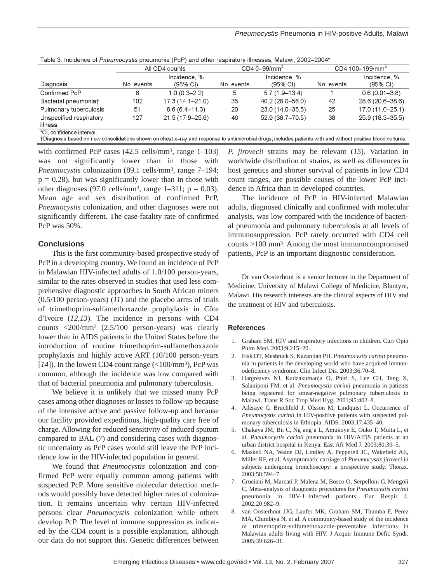|                                                                                                                                                              | All CD4 counts |                     | $CD40 - 99/mm3$ |                    | CD4 100-199/mm <sup>3</sup> |                     |
|--------------------------------------------------------------------------------------------------------------------------------------------------------------|----------------|---------------------|-----------------|--------------------|-----------------------------|---------------------|
|                                                                                                                                                              |                | Incidence, %        |                 | Incidence, %       |                             | Incidence, %        |
| Diagnosis                                                                                                                                                    | No. events     | (95% CI)            | No. events      | $(95\% \text{ C})$ | No. events                  | $(95\% \text{ Cl})$ |
| Confirmed PcP                                                                                                                                                | 6              | $1.0(0.3 - 2.2)$    | 5               | $5.7(1.9 - 13.4)$  |                             | $0.6(0.01 - 3.8)$   |
| Bacterial pneumoniat                                                                                                                                         | 102            | $17.3(14.1 - 21.0)$ | 35              | 40.2 (28.0–56.0)   | 42                          | 28.6 (20.6-38.6)    |
| Pulmonary tuberculosis                                                                                                                                       | 51             | $8.6(6.4 - 11.3)$   | 20              | 23.0 (14.0-35.5)   | 25                          | 17.0 (11.0–25.1)    |
| Unspecified respiratory                                                                                                                                      | 127            | 21.5 (17.9-25.6)    | 46              | 52.9 (38.7-70.5)   | 38                          | 25.9 (18.3-35.5)    |
| illness                                                                                                                                                      |                |                     |                 |                    |                             |                     |
| *CI, confidence interval.                                                                                                                                    |                |                     |                 |                    |                             |                     |
| +Diagnosis based on new consolidations shown on chest x–ray and response to antimicrobial drugs; includes patients with and without positive blood cultures. |                |                     |                 |                    |                             |                     |

Table 3. Incidence of Pneumocystis pneumonia (PcP) and other respiratory illnesses, Malawi, 2002-2004\*

with confirmed PcP cases (42.5 cells/mm<sup>3</sup>, range 1–103) was not significantly lower than in those with *Pneumocystis* colonization (89.1 cells/mm3, range 7–194;  $p = 0.28$ ), but was significantly lower than in those with other diagnoses (97.0 cells/mm<sup>3</sup>, range 1–311;  $p = 0.03$ ). Mean age and sex distribution of confirmed PcP, *Pneumocystis* colonization, and other diagnoses were not significantly different. The case-fatality rate of confirmed PcP was 50%.

### **Conclusions**

This is the first community-based prospective study of PcP in a developing country. We found an incidence of PcP in Malawian HIV-infected adults of 1.0/100 person-years, similar to the rates observed in studies that used less comprehensive diagnostic approaches in South African miners (0.5/100 person-years) (*11*) and the placebo arms of trials of trimethoprim-sulfamethoxazole prophylaxis in Côte d'Ivoire (*12*,*13*). The incidence in persons with CD4 counts <200/mm3 (2.5/100 person-years) was clearly lower than in AIDS patients in the United States before the introduction of routine trimethoprim-sulfamethoxazole prophylaxis and highly active ART (10/100 person-years [ $14$ ]). In the lowest CD4 count range ( $\langle 100/\text{mm}^3$ ), PcP was common, although the incidence was low compared with that of bacterial pneumonia and pulmonary tuberculosis.

We believe it is unlikely that we missed many PcP cases among other diagnoses or losses to follow-up because of the intensive active and passive follow-up and because our facility provided expeditious, high-quality care free of charge. Allowing for reduced sensitivity of induced sputum compared to BAL (*7*) and considering cases with diagnostic uncertainty as PcP cases would still leave the PcP incidence low in the HIV-infected population in general.

We found that *Pneumocystis* colonization and confirmed PcP were equally common among patients with suspected PcP. More sensitive molecular detection methods would possibly have detected higher rates of colonization. It remains uncertain why certain HIV-infected persons clear *Pneumocystis* colonization while others develop PcP. The level of immune suppression as indicated by the CD4 count is a possible explanation, although our data do not support this. Genetic differences between

*P. jirovecii* strains may be relevant (*15*). Variation in worldwide distribution of strains, as well as differences in host genetics and shorter survival of patients in low CD4 count ranges, are possible causes of the lower PcP incidence in Africa than in developed countries.

The incidence of PcP in HIV-infected Malawian adults, diagnosed clinically and confirmed with molecular analysis, was low compared with the incidence of bacterial pneumonia and pulmonary tuberculosis at all levels of immunosuppression. PcP rarely occurred with CD4 cell counts >100 mm3. Among the most immunocompromised patients, PcP is an important diagnostic consideration.

Dr van Oosterhout is a senior lecturer in the Department of Medicine, University of Malawi College of Medicine, Blantyre, Malawi. His research interests are the clinical aspects of HIV and the treatment of HIV and tuberculosis.

#### **References**

- 1. Graham SM. HIV and respiratory infections in children. Curr Opin Pulm Med. 2003;9:215–20.
- 2. Fisk DT, Meshnick S, Kazanjian PH. *Pneumocystis carinii* pneumonia in patients in the developing world who have acquired immunodeficiency syndrome. Clin Infect Dis. 2003;36:70–8.
- 3. Hargreaves NJ, Kadzakumanja O, Phiri S, Lee CH, Tang X, Salaniponi FM, et al. *Pneumocystis carinii* pneumonia in patients being registered for smear-negative pulmonary tuberculosis in Malawi. Trans R Soc Trop Med Hyg. 2001;95:402–8.
- 4. Aderaye G, Bruchfeld J, Olsson M, Lindquist L. Occurrence of *Pneumocystis carinii* in HIV-positive patients with suspected pulmonary tuberculosis in Ethiopia. AIDS. 2003;17:435–40.
- 5. Chakaya JM, Bii C, Ng'ang'a L, Amukoye E, Ouko T, Muita L, et al. *Pneumocystis carinii* pneumonia in HIV/AIDS patients at an urban district hospital in Kenya. East Afr Med J. 2003;80:30–5.
- 6. Maskell NA, Waine DJ, Lindley A, Pepperell JC, Wakefield AE, Miller RF, et al. Asymptomatic carriage of *Pneumocystis jiroveci* in subjects undergoing bronchoscopy: a prospective study. Thorax. 2003;58:594–7.
- 7. Cruciani M, Marcati P, Malena M, Bosco O, Serpelloni G, Mengoli C. Meta-analysis of diagnostic procedures for *Pneumocystis carinii* pneumonia in HIV-1–infected patients. Eur Respir J. 2002;20:982–9.
- 8. van Oosterhout JJG, Laufer MK, Graham SM, Thumba F, Perez MA, Chimbiya N, et al. A community-based study of the incidence of trimethoprim-sulfamethoxazole-preventable infections in Malawian adults living with HIV. J Acquir Immune Defic Syndr. 2005;39:626–31.